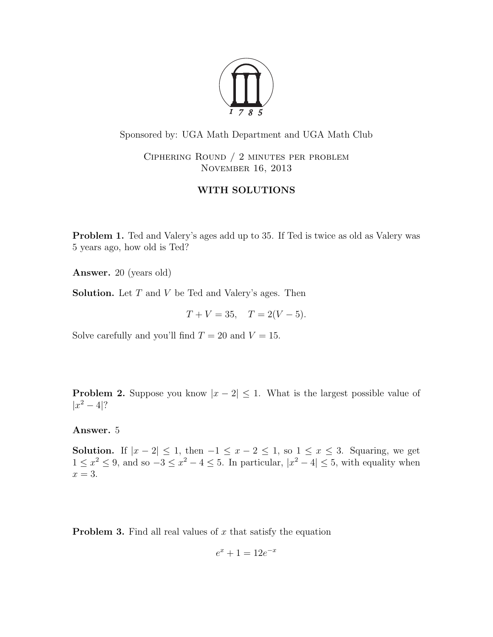

Sponsored by: UGA Math Department and UGA Math Club

Ciphering Round / 2 minutes per problem November 16, 2013

## WITH SOLUTIONS

Problem 1. Ted and Valery's ages add up to 35. If Ted is twice as old as Valery was 5 years ago, how old is Ted?

Answer. 20 (years old)

**Solution.** Let  $T$  and  $V$  be Ted and Valery's ages. Then

 $T + V = 35$ ,  $T = 2(V - 5)$ .

Solve carefully and you'll find  $T = 20$  and  $V = 15$ .

**Problem 2.** Suppose you know  $|x-2| \leq 1$ . What is the largest possible value of  $|x^2 - 4|?$ 

Answer. 5

Solution. If  $|x-2| \leq 1$ , then  $-1 \leq x-2 \leq 1$ , so  $1 \leq x \leq 3$ . Squaring, we get  $1 \le x^2 \le 9$ , and so  $-3 \le x^2 - 4 \le 5$ . In particular,  $|x^2 - 4| \le 5$ , with equality when  $x = 3$ .

**Problem 3.** Find all real values of  $x$  that satisfy the equation

$$
e^x + 1 = 12e^{-x}
$$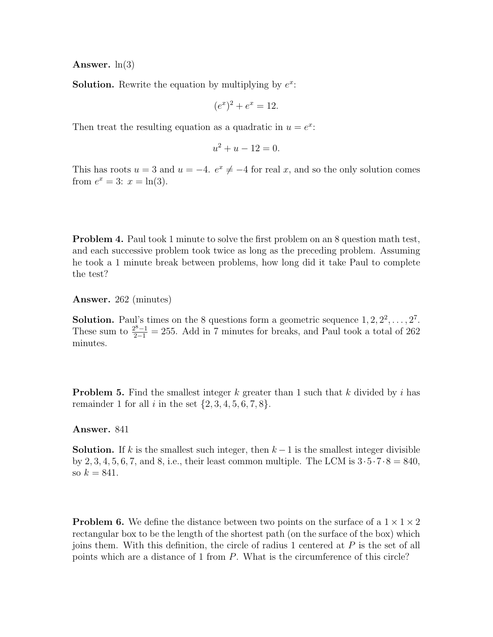Answer.  $ln(3)$ 

**Solution.** Rewrite the equation by multiplying by  $e^x$ :

$$
(e^x)^2 + e^x = 12.
$$

Then treat the resulting equation as a quadratic in  $u = e^x$ :

$$
u^2 + u - 12 = 0.
$$

This has roots  $u = 3$  and  $u = -4$ .  $e^x \neq -4$  for real x, and so the only solution comes from  $e^x = 3$ :  $x = \ln(3)$ .

**Problem 4.** Paul took 1 minute to solve the first problem on an 8 question math test, and each successive problem took twice as long as the preceding problem. Assuming he took a 1 minute break between problems, how long did it take Paul to complete the test?

Answer. 262 (minutes)

**Solution.** Paul's times on the 8 questions form a geometric sequence  $1, 2, 2^2, \ldots, 2^7$ . These sum to  $\frac{2^8-1}{2-1} = 255$ . Add in 7 minutes for breaks, and Paul took a total of 262 minutes.

**Problem 5.** Find the smallest integer k greater than 1 such that k divided by i has remainder 1 for all i in the set  $\{2, 3, 4, 5, 6, 7, 8\}.$ 

Answer. 841

**Solution.** If k is the smallest such integer, then  $k-1$  is the smallest integer divisible by 2, 3, 4, 5, 6, 7, and 8, i.e., their least common multiple. The LCM is  $3 \cdot 5 \cdot 7 \cdot 8 = 840$ , so  $k = 841$ .

**Problem 6.** We define the distance between two points on the surface of a  $1 \times 1 \times 2$ rectangular box to be the length of the shortest path (on the surface of the box) which joins them. With this definition, the circle of radius 1 centered at  $P$  is the set of all points which are a distance of 1 from P. What is the circumference of this circle?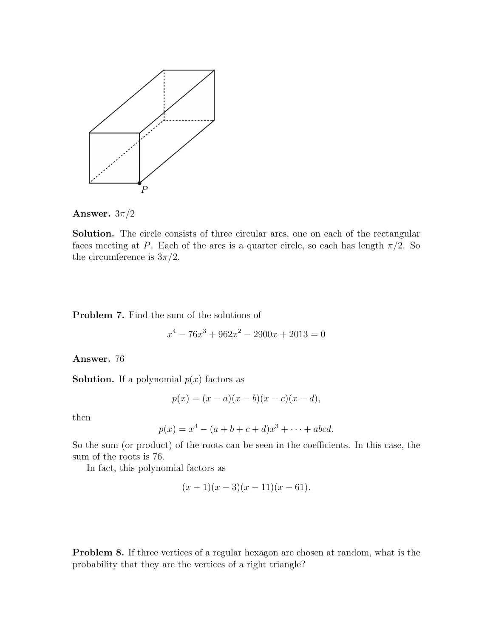

Answer.  $3\pi/2$ 

Solution. The circle consists of three circular arcs, one on each of the rectangular faces meeting at P. Each of the arcs is a quarter circle, so each has length  $\pi/2$ . So the circumference is  $3\pi/2$ .

Problem 7. Find the sum of the solutions of

$$
x^4 - 76x^3 + 962x^2 - 2900x + 2013 = 0
$$

Answer. 76

**Solution.** If a polynomial  $p(x)$  factors as

$$
p(x) = (x - a)(x - b)(x - c)(x - d),
$$

then

$$
p(x) = x^4 - (a+b+c+d)x^3 + \dots + abcd.
$$

So the sum (or product) of the roots can be seen in the coefficients. In this case, the sum of the roots is 76.

In fact, this polynomial factors as

$$
(x-1)(x-3)(x-11)(x-61).
$$

Problem 8. If three vertices of a regular hexagon are chosen at random, what is the probability that they are the vertices of a right triangle?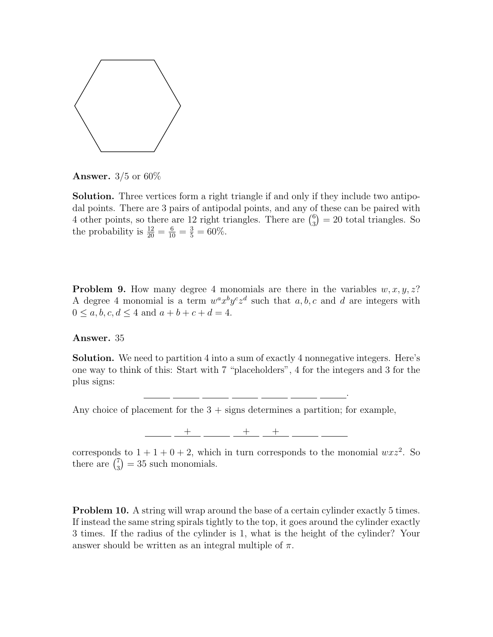

**Answer.**  $3/5$  or  $60\%$ 

Solution. Three vertices form a right triangle if and only if they include two antipodal points. There are 3 pairs of antipodal points, and any of these can be paired with 4 other points, so there are 12 right triangles. There are  $\binom{6}{3} = 20$  total triangles. So the probability is  $\frac{12}{20} = \frac{6}{10} = \frac{3}{5} = 60\%$ .

**Problem 9.** How many degree 4 monomials are there in the variables  $w, x, y, z$ ? A degree 4 monomial is a term  $w^a x^b y^c z^d$  such that  $a, b, c$  and  $d$  are integers with  $0 \le a, b, c, d \le 4$  and  $a + b + c + d = 4$ .

## Answer. 35

Solution. We need to partition 4 into a sum of exactly 4 nonnegative integers. Here's one way to think of this: Start with 7 "placeholders", 4 for the integers and 3 for the plus signs:

Any choice of placement for the  $3 +$  signs determines a partition; for example,

 $+$  +  $+$ 

.

corresponds to  $1 + 1 + 0 + 2$ , which in turn corresponds to the monomial  $wxz^2$ . So there are  $\binom{7}{3} = 35$  such monomials.

**Problem 10.** A string will wrap around the base of a certain cylinder exactly 5 times. If instead the same string spirals tightly to the top, it goes around the cylinder exactly 3 times. If the radius of the cylinder is 1, what is the height of the cylinder? Your answer should be written as an integral multiple of  $\pi$ .